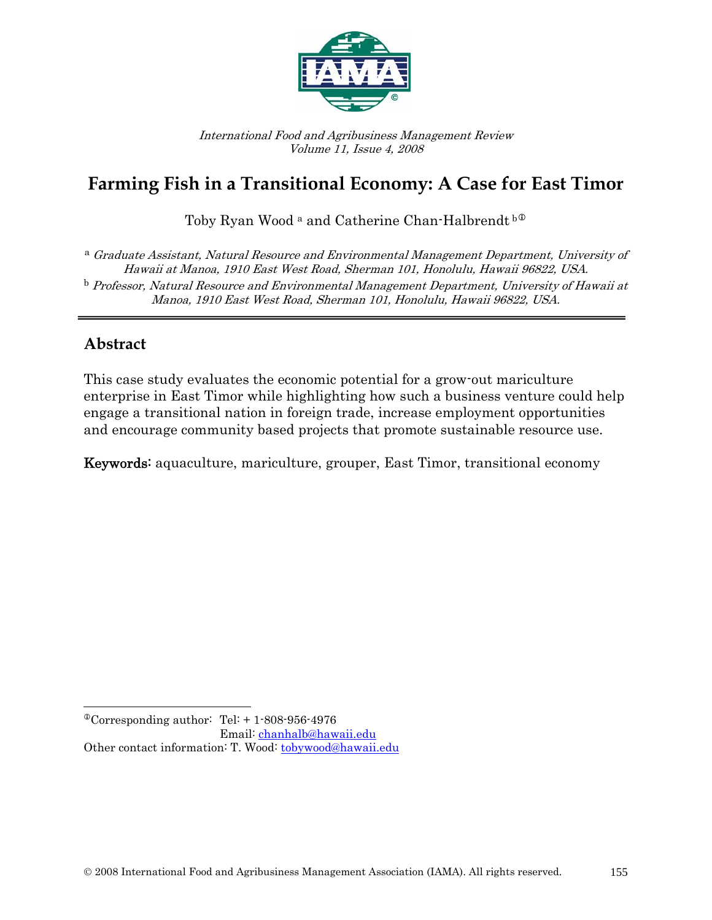

International Food and Agribusiness Management Review Volume 11, Issue 4, 2008

# **Farming Fish in a Transitional Economy: A Case for East Timor**

Toby Ryan Wood<sup>a</sup> and Catherine Chan-Halbrendt<sup>b®</sup>

<sup>a</sup> Graduate Assistant, Natural Resource and Environmental Management Department, University of Hawaii at Manoa, 1910 East West Road, Sherman 101, Honolulu, Hawaii 96822, USA.  $^{\rm b}$  Professor, Natural Resource and Environmental Management Department, University of Hawaii at Manoa, 1910 East West Road, Sherman 101, Honolulu, Hawaii 96822, USA.

## **Abstract**

 $\overline{\phantom{a}}$ 

This case study evaluates the economic potential for a grow-out mariculture enterprise in East Timor while highlighting how such a business venture could help engage a transitional nation in foreign trade, increase employment opportunities and encourage community based projects that promote sustainable resource use.

Keywords: aquaculture, mariculture, grouper, East Timor, transitional economy

<span id="page-0-0"></span> $^{\circ}$ Corresponding author: Tel: + 1-808-956-4976 Email: [chanhalb@hawaii.edu](mailto:chanhalb@hawaii.edu)  Other contact information: T. Wood: [tobywood@hawaii.edu](mailto:tobywood@hawaii.edu)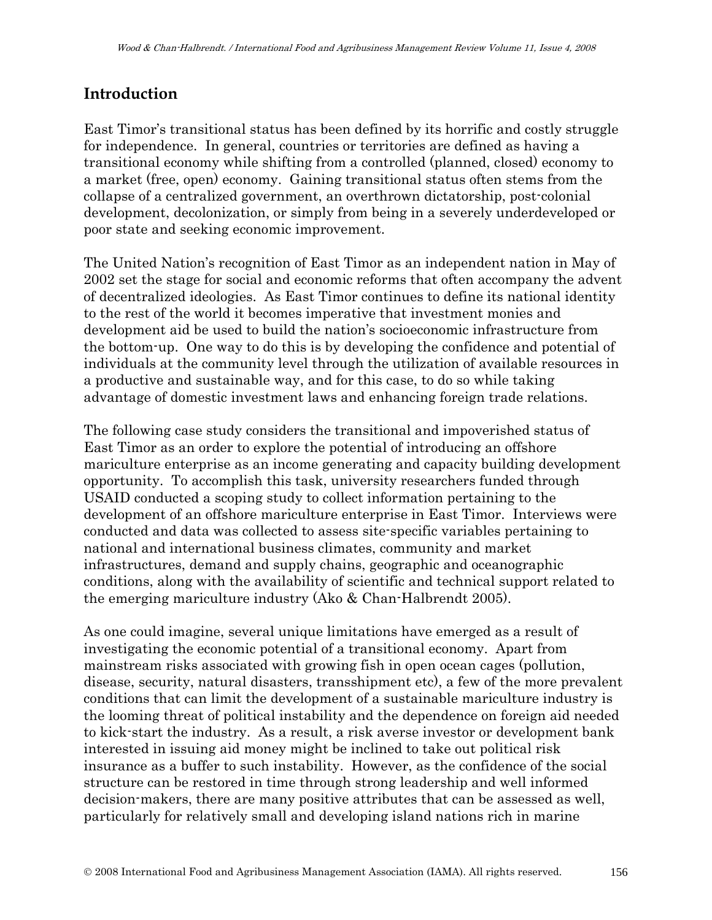## **Introduction**

East Timor's transitional status has been defined by its horrific and costly struggle for independence. In general, countries or territories are defined as having a transitional economy while shifting from a controlled (planned, closed) economy to a market (free, open) economy. Gaining transitional status often stems from the collapse of a centralized government, an overthrown dictatorship, post-colonial development, decolonization, or simply from being in a severely underdeveloped or poor state and seeking economic improvement.

The United Nation's recognition of East Timor as an independent nation in May of 2002 set the stage for social and economic reforms that often accompany the advent of decentralized ideologies. As East Timor continues to define its national identity to the rest of the world it becomes imperative that investment monies and development aid be used to build the nation's socioeconomic infrastructure from the bottom-up. One way to do this is by developing the confidence and potential of individuals at the community level through the utilization of available resources in a productive and sustainable way, and for this case, to do so while taking advantage of domestic investment laws and enhancing foreign trade relations.

The following case study considers the transitional and impoverished status of East Timor as an order to explore the potential of introducing an offshore mariculture enterprise as an income generating and capacity building development opportunity. To accomplish this task, university researchers funded through USAID conducted a scoping study to collect information pertaining to the development of an offshore mariculture enterprise in East Timor. Interviews were conducted and data was collected to assess site-specific variables pertaining to national and international business climates, community and market infrastructures, demand and supply chains, geographic and oceanographic conditions, along with the availability of scientific and technical support related to the emerging mariculture industry (Ako & Chan-Halbrendt 2005).

As one could imagine, several unique limitations have emerged as a result of investigating the economic potential of a transitional economy. Apart from mainstream risks associated with growing fish in open ocean cages (pollution, disease, security, natural disasters, transshipment etc), a few of the more prevalent conditions that can limit the development of a sustainable mariculture industry is the looming threat of political instability and the dependence on foreign aid needed to kick-start the industry. As a result, a risk averse investor or development bank interested in issuing aid money might be inclined to take out political risk insurance as a buffer to such instability. However, as the confidence of the social structure can be restored in time through strong leadership and well informed decision-makers, there are many positive attributes that can be assessed as well, particularly for relatively small and developing island nations rich in marine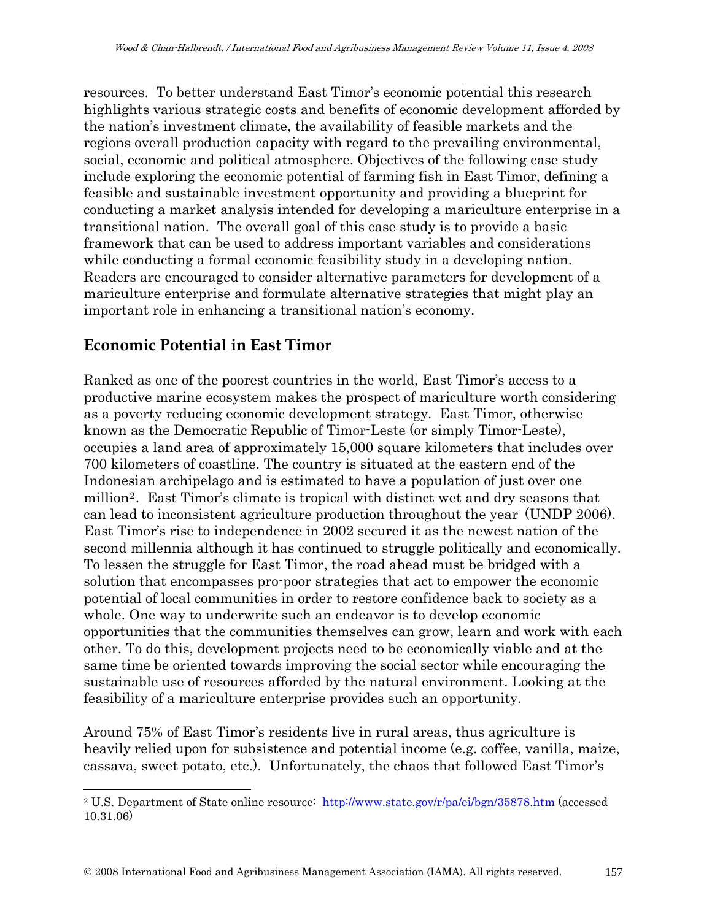resources. To better understand East Timor's economic potential this research highlights various strategic costs and benefits of economic development afforded by the nation's investment climate, the availability of feasible markets and the regions overall production capacity with regard to the prevailing environmental, social, economic and political atmosphere. Objectives of the following case study include exploring the economic potential of farming fish in East Timor, defining a feasible and sustainable investment opportunity and providing a blueprint for conducting a market analysis intended for developing a mariculture enterprise in a transitional nation. The overall goal of this case study is to provide a basic framework that can be used to address important variables and considerations while conducting a formal economic feasibility study in a developing nation. Readers are encouraged to consider alternative parameters for development of a mariculture enterprise and formulate alternative strategies that might play an important role in enhancing a transitional nation's economy.

## **Economic Potential in East Timor**

 $\overline{\phantom{a}}$ 

Ranked as one of the poorest countries in the world, East Timor's access to a productive marine ecosystem makes the prospect of mariculture worth considering as a poverty reducing economic development strategy. East Timor, otherwise known as the Democratic Republic of Timor-Leste (or simply Timor-Leste), occupies a land area of approximately 15,000 square kilometers that includes over 700 kilometers of coastline. The country is situated at the eastern end of the Indonesian archipelago and is estimated to have a population of just over one million[2](#page-2-0). East Timor's climate is tropical with distinct wet and dry seasons that can lead to inconsistent agriculture production throughout the year (UNDP 2006). East Timor's rise to independence in 2002 secured it as the newest nation of the second millennia although it has continued to struggle politically and economically. To lessen the struggle for East Timor, the road ahead must be bridged with a solution that encompasses pro-poor strategies that act to empower the economic potential of local communities in order to restore confidence back to society as a whole. One way to underwrite such an endeavor is to develop economic opportunities that the communities themselves can grow, learn and work with each other. To do this, development projects need to be economically viable and at the same time be oriented towards improving the social sector while encouraging the sustainable use of resources afforded by the natural environment. Looking at the feasibility of a mariculture enterprise provides such an opportunity.

Around 75% of East Timor's residents live in rural areas, thus agriculture is heavily relied upon for subsistence and potential income (e.g. coffee, vanilla, maize, cassava, sweet potato, etc.). Unfortunately, the chaos that followed East Timor's

<span id="page-2-0"></span><sup>2</sup> U.S. Department of State online resource: <http://www.state.gov/r/pa/ei/bgn/35878.htm> (accessed 10.31.06)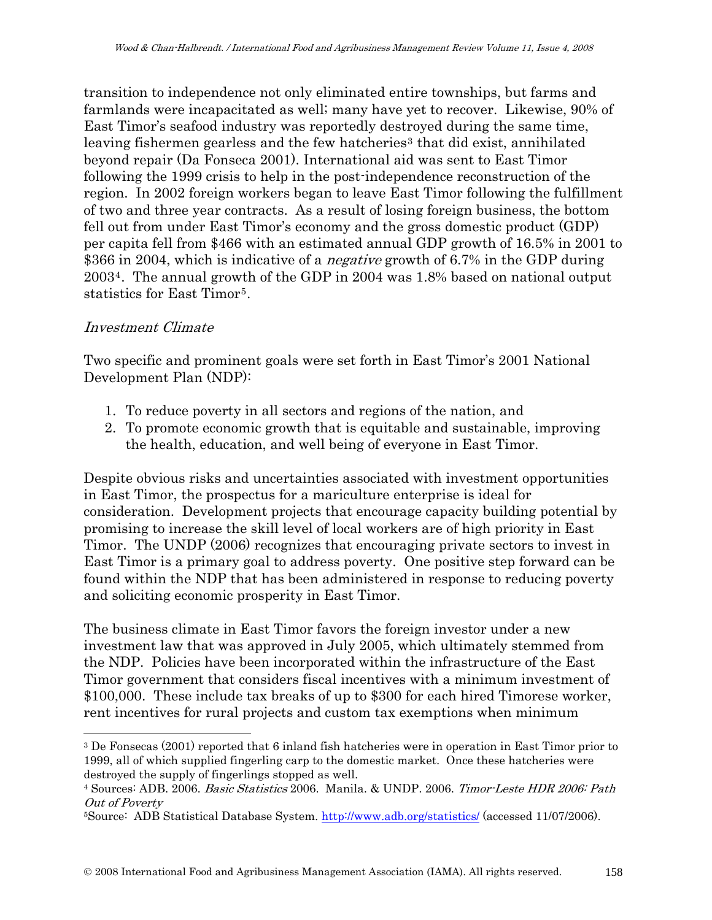transition to independence not only eliminated entire townships, but farms and farmlands were incapacitated as well; many have yet to recover. Likewise, 90% of East Timor's seafood industry was reportedly destroyed during the same time, leaving fishermen gearless and the few hatcheries<sup>[3](#page-3-0)</sup> that did exist, annihilated beyond repair (Da Fonseca 2001). International aid was sent to East Timor following the 1999 crisis to help in the post-independence reconstruction of the region. In 2002 foreign workers began to leave East Timor following the fulfillment of two and three year contracts. As a result of losing foreign business, the bottom fell out from under East Timor's economy and the gross domestic product (GDP) per capita fell from \$466 with an estimated annual GDP growth of 16.5% in 2001 to \$366 in 2004, which is indicative of a *negative* growth of 6.7% in the GDP during 2003[4](#page-3-1). The annual growth of the GDP in 2004 was 1.8% based on national output statistics for East Timor[5](#page-3-2).

#### Investment Climate

 $\overline{\phantom{a}}$ 

Two specific and prominent goals were set forth in East Timor's 2001 National Development Plan (NDP):

- 1. To reduce poverty in all sectors and regions of the nation, and
- 2. To promote economic growth that is equitable and sustainable, improving the health, education, and well being of everyone in East Timor.

Despite obvious risks and uncertainties associated with investment opportunities in East Timor, the prospectus for a mariculture enterprise is ideal for consideration. Development projects that encourage capacity building potential by promising to increase the skill level of local workers are of high priority in East Timor. The UNDP (2006) recognizes that encouraging private sectors to invest in East Timor is a primary goal to address poverty. One positive step forward can be found within the NDP that has been administered in response to reducing poverty and soliciting economic prosperity in East Timor.

The business climate in East Timor favors the foreign investor under a new investment law that was approved in July 2005, which ultimately stemmed from the NDP. Policies have been incorporated within the infrastructure of the East Timor government that considers fiscal incentives with a minimum investment of \$100,000. These include tax breaks of up to \$300 for each hired Timorese worker, rent incentives for rural projects and custom tax exemptions when minimum

<span id="page-3-0"></span><sup>3</sup> De Fonsecas (2001) reported that 6 inland fish hatcheries were in operation in East Timor prior to 1999, all of which supplied fingerling carp to the domestic market. Once these hatcheries were destroyed the supply of fingerlings stopped as well.

<span id="page-3-1"></span><sup>&</sup>lt;sup>4</sup> Sources: ADB. 2006. *Basic Statistics* 2006. Manila. & UNDP. 2006. *Timor-Leste HDR 2006: Path* Out of Poverty

<span id="page-3-2"></span><sup>&</sup>lt;sup>5</sup>Source: ADB Statistical Database System. <http://www.adb.org/statistics/>(accessed 11/07/2006).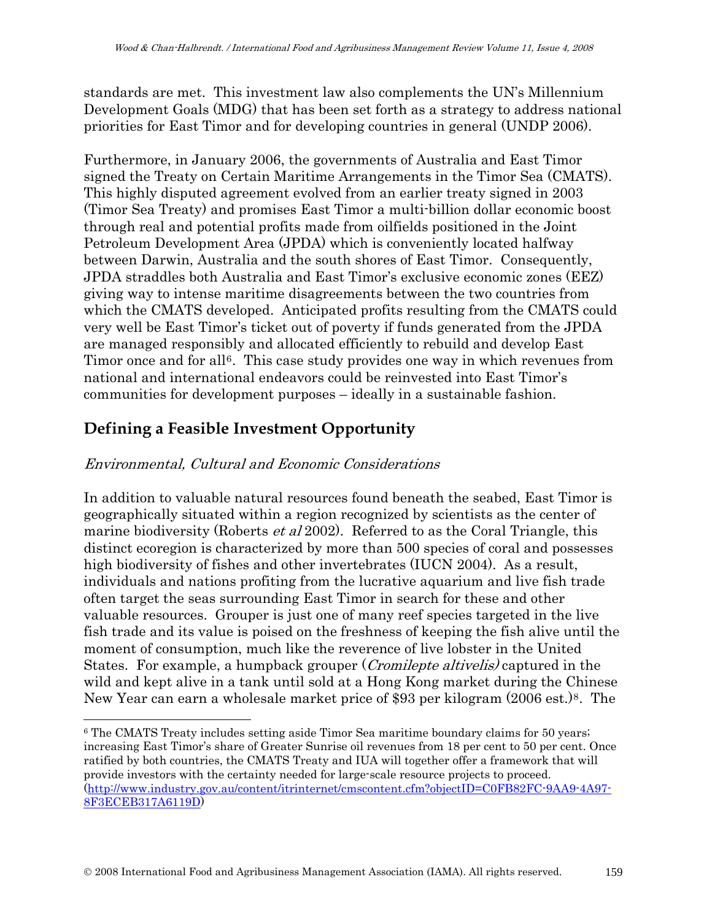standards are met. This investment law also complements the UN's Millennium Development Goals (MDG) that has been set forth as a strategy to address national priorities for East Timor and for developing countries in general (UNDP 2006).

Furthermore, in January 2006, the governments of Australia and East Timor signed the Treaty on Certain Maritime Arrangements in the Timor Sea (CMATS). This highly disputed agreement evolved from an earlier treaty signed in 2003 (Timor Sea Treaty) and promises East Timor a multi-billion dollar economic boost through real and potential profits made from oilfields positioned in the Joint Petroleum Development Area (JPDA) which is conveniently located halfway between Darwin, Australia and the south shores of East Timor. Consequently, JPDA straddles both Australia and East Timor's exclusive economic zones (EEZ) giving way to intense maritime disagreements between the two countries from which the CMATS developed. Anticipated profits resulting from the CMATS could very well be East Timor's ticket out of poverty if funds generated from the JPDA are managed responsibly and allocated efficiently to rebuild and develop East Timor once and for all<sup>[6](#page-4-0)</sup>. This case study provides one way in which revenues from national and international endeavors could be reinvested into East Timor's communities for development purposes – ideally in a sustainable fashion.

## **Defining a Feasible Investment Opportunity**

 $\overline{a}$ 

### Environmental, Cultural and Economic Considerations

In addition to valuable natural resources found beneath the seabed, East Timor is geographically situated within a region recognized by scientists as the center of marine biodiversity (Roberts *et al* 2002). Referred to as the Coral Triangle, this distinct ecoregion is characterized by more than 500 species of coral and possesses high biodiversity of fishes and other invertebrates (IUCN 2004). As a result, individuals and nations profiting from the lucrative aquarium and live fish trade often target the seas surrounding East Timor in search for these and other valuable resources. Grouper is just one of many reef species targeted in the live fish trade and its value is poised on the freshness of keeping the fish alive until the moment of consumption, much like the reverence of live lobster in the United States. For example, a humpback grouper (Cromilepte altivelis) captured in the wild and kept alive in a tank until sold at a Hong Kong market during the Chinese New Year can earn a wholesale market price of \$93 per kilogram (2006 est.)[8](#page-4-1). The

<span id="page-4-1"></span><span id="page-4-0"></span><sup>6</sup> The CMATS Treaty includes setting aside Timor Sea maritime boundary claims for 50 years; increasing East Timor's share of Greater Sunrise oil revenues from 18 per cent to 50 per cent. Once ratified by both countries, the CMATS Treaty and IUA will together offer a framework that will provide investors with the certainty needed for large-scale resource projects to proceed. [\(http://www.industry.gov.au/content/itrinternet/cmscontent.cfm?objectID=C0FB82FC-9AA9-4A97-](http://www.industry.gov.au/content/itrinternet/cmscontent.cfm?objectID=C0FB82FC-9AA9-4A97-8F3ECEB317A6119D) [8F3ECEB317A6119D\)](http://www.industry.gov.au/content/itrinternet/cmscontent.cfm?objectID=C0FB82FC-9AA9-4A97-8F3ECEB317A6119D)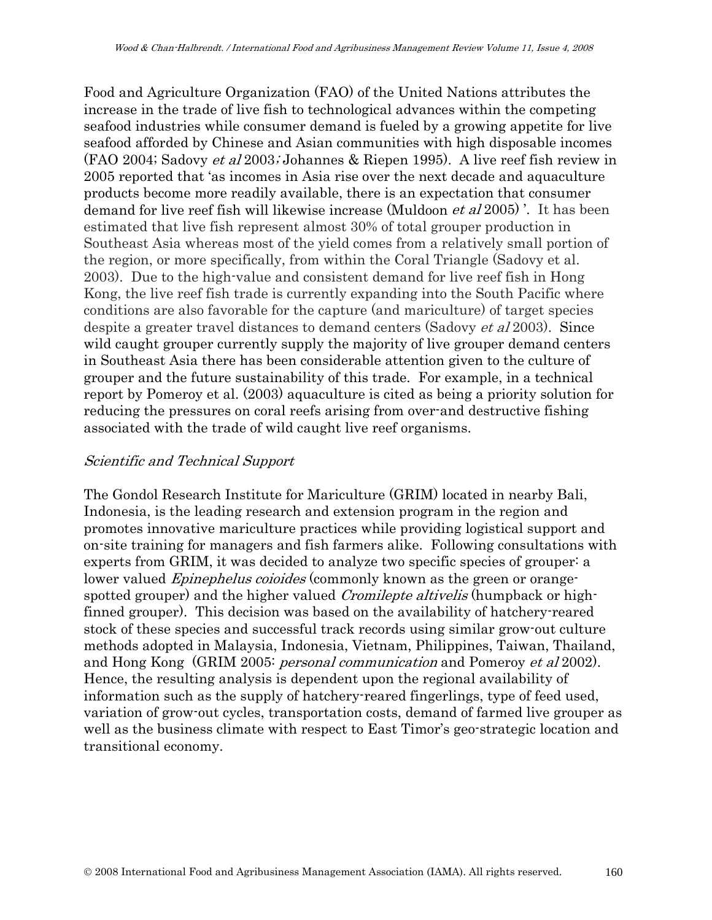Food and Agriculture Organization (FAO) of the United Nations attributes the increase in the trade of live fish to technological advances within the competing seafood industries while consumer demand is fueled by a growing appetite for live seafood afforded by Chinese and Asian communities with high disposable incomes (FAO 2004; Sadovy et al 2003; Johannes & Riepen 1995). A live reef fish review in 2005 reported that 'as incomes in Asia rise over the next decade and aquaculture products become more readily available, there is an expectation that consumer demand for live reef fish will likewise increase (Muldoon *et al* 2005). It has been estimated that live fish represent almost 30% of total grouper production in Southeast Asia whereas most of the yield comes from a relatively small portion of the region, or more specifically, from within the Coral Triangle (Sadovy et al. 2003). Due to the high-value and consistent demand for live reef fish in Hong Kong, the live reef fish trade is currently expanding into the South Pacific where conditions are also favorable for the capture (and mariculture) of target species despite a greater travel distances to demand centers (Sadovy *et al* 2003). Since wild caught grouper currently supply the majority of live grouper demand centers in Southeast Asia there has been considerable attention given to the culture of grouper and the future sustainability of this trade. For example, in a technical report by Pomeroy et al. (2003) aquaculture is cited as being a priority solution for reducing the pressures on coral reefs arising from over-and destructive fishing associated with the trade of wild caught live reef organisms.

### Scientific and Technical Support

The Gondol Research Institute for Mariculture (GRIM) located in nearby Bali, Indonesia, is the leading research and extension program in the region and promotes innovative mariculture practices while providing logistical support and on-site training for managers and fish farmers alike. Following consultations with experts from GRIM, it was decided to analyze two specific species of grouper: a lower valued *Epinephelus coioides* (commonly known as the green or orangespotted grouper) and the higher valued *Cromilepte altivelis* (humpback or highfinned grouper). This decision was based on the availability of hatchery-reared stock of these species and successful track records using similar grow-out culture methods adopted in Malaysia, Indonesia, Vietnam, Philippines, Taiwan, Thailand, and Hong Kong (GRIM 2005: personal communication and Pomeroy et al 2002). Hence, the resulting analysis is dependent upon the regional availability of information such as the supply of hatchery-reared fingerlings, type of feed used, variation of grow-out cycles, transportation costs, demand of farmed live grouper as well as the business climate with respect to East Timor's geo-strategic location and transitional economy.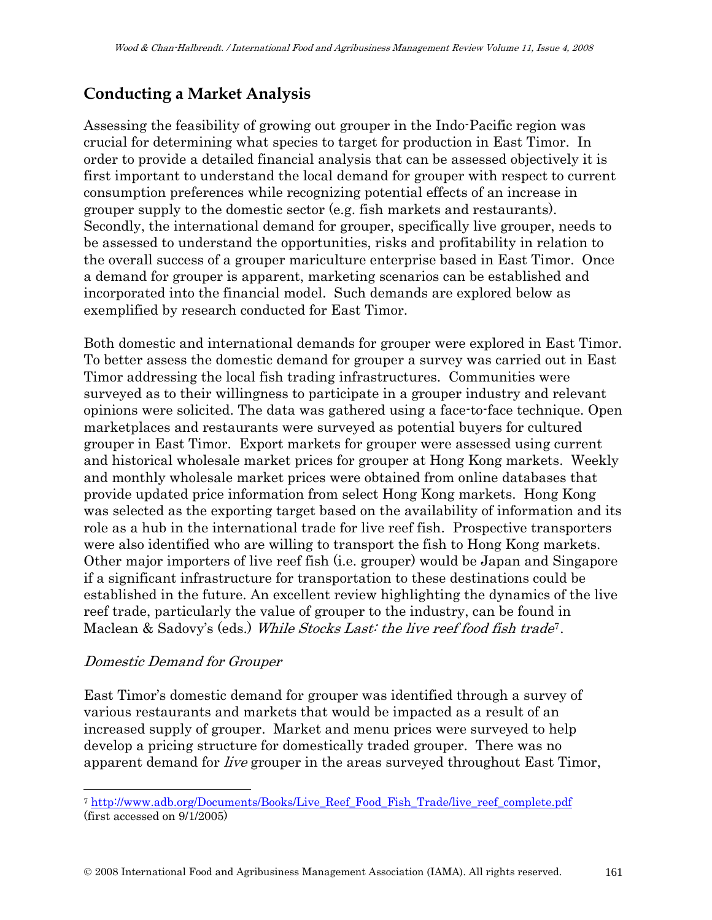## **Conducting a Market Analysis**

Assessing the feasibility of growing out grouper in the Indo-Pacific region was crucial for determining what species to target for production in East Timor. In order to provide a detailed financial analysis that can be assessed objectively it is first important to understand the local demand for grouper with respect to current consumption preferences while recognizing potential effects of an increase in grouper supply to the domestic sector (e.g. fish markets and restaurants). Secondly, the international demand for grouper, specifically live grouper, needs to be assessed to understand the opportunities, risks and profitability in relation to the overall success of a grouper mariculture enterprise based in East Timor. Once a demand for grouper is apparent, marketing scenarios can be established and incorporated into the financial model. Such demands are explored below as exemplified by research conducted for East Timor.

Both domestic and international demands for grouper were explored in East Timor. To better assess the domestic demand for grouper a survey was carried out in East Timor addressing the local fish trading infrastructures. Communities were surveyed as to their willingness to participate in a grouper industry and relevant opinions were solicited. The data was gathered using a face-to-face technique. Open marketplaces and restaurants were surveyed as potential buyers for cultured grouper in East Timor. Export markets for grouper were assessed using current and historical wholesale market prices for grouper at Hong Kong markets. Weekly and monthly wholesale market prices were obtained from online databases that provide updated price information from select Hong Kong markets. Hong Kong was selected as the exporting target based on the availability of information and its role as a hub in the international trade for live reef fish. Prospective transporters were also identified who are willing to transport the fish to Hong Kong markets. Other major importers of live reef fish (i.e. grouper) would be Japan and Singapore if a significant infrastructure for transportation to these destinations could be established in the future. An excellent review highlighting the dynamics of the live reef trade, particularly the value of grouper to the industry, can be found in Maclean & Sadovy's (eds.) While Stocks Last: the live reef food fish trade<sup>[7](#page-6-0)</sup>.

### Domestic Demand for Grouper

 $\overline{\phantom{a}}$ 

East Timor's domestic demand for grouper was identified through a survey of various restaurants and markets that would be impacted as a result of an increased supply of grouper. Market and menu prices were surveyed to help develop a pricing structure for domestically traded grouper. There was no apparent demand for live grouper in the areas surveyed throughout East Timor,

<span id="page-6-0"></span><sup>7</sup> [http://www.adb.org/Documents/Books/Live\\_Reef\\_Food\\_Fish\\_Trade/live\\_reef\\_complete.pdf](http://www.adb.org/Documents/Books/Live_Reef_Food_Fish_Trade/live_reef_complete.pdf)  (first accessed on 9/1/2005)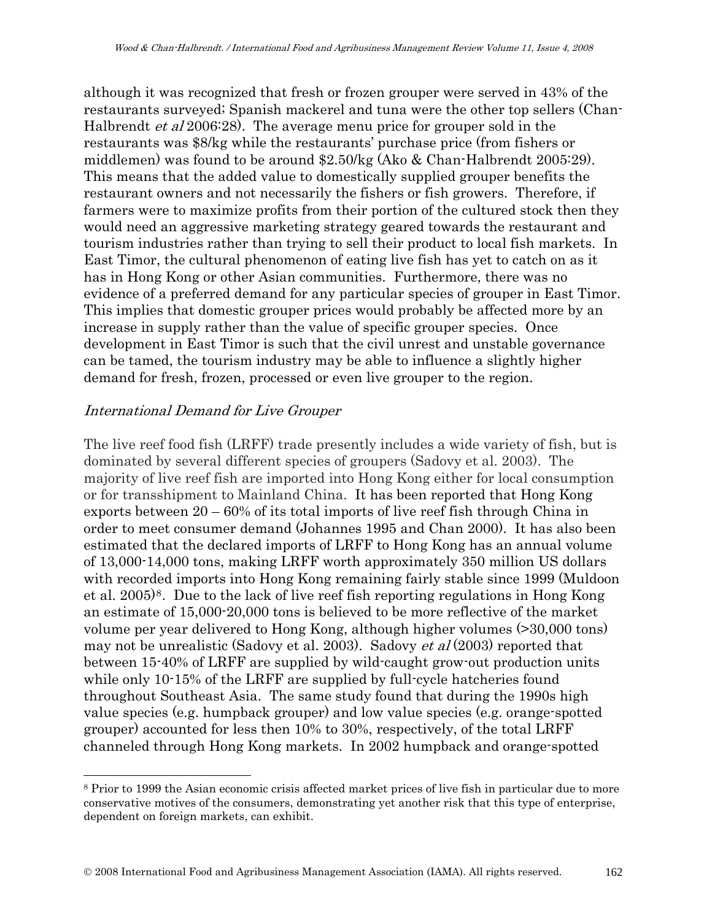although it was recognized that fresh or frozen grouper were served in 43% of the restaurants surveyed; Spanish mackerel and tuna were the other top sellers (Chan-Halbrendt *et al* 2006:28). The average menu price for grouper sold in the restaurants was \$8/kg while the restaurants' purchase price (from fishers or middlemen) was found to be around \$2.50/kg (Ako & Chan-Halbrendt 2005:29). This means that the added value to domestically supplied grouper benefits the restaurant owners and not necessarily the fishers or fish growers. Therefore, if farmers were to maximize profits from their portion of the cultured stock then they would need an aggressive marketing strategy geared towards the restaurant and tourism industries rather than trying to sell their product to local fish markets. In East Timor, the cultural phenomenon of eating live fish has yet to catch on as it has in Hong Kong or other Asian communities. Furthermore, there was no evidence of a preferred demand for any particular species of grouper in East Timor. This implies that domestic grouper prices would probably be affected more by an increase in supply rather than the value of specific grouper species. Once development in East Timor is such that the civil unrest and unstable governance can be tamed, the tourism industry may be able to influence a slightly higher demand for fresh, frozen, processed or even live grouper to the region.

### International Demand for Live Grouper

 $\overline{\phantom{a}}$ 

The live reef food fish (LRFF) trade presently includes a wide variety of fish, but is dominated by several different species of groupers (Sadovy et al. 2003). The majority of live reef fish are imported into Hong Kong either for local consumption or for transshipment to Mainland China. It has been reported that Hong Kong exports between 20 – 60% of its total imports of live reef fish through China in order to meet consumer demand (Johannes 1995 and Chan 2000). It has also been estimated that the declared imports of LRFF to Hong Kong has an annual volume of 13,000-14,000 tons, making LRFF worth approximately 350 million US dollars with recorded imports into Hong Kong remaining fairly stable since 1999 (Muldoon et al. 2005)[8](#page-7-0). Due to the lack of live reef fish reporting regulations in Hong Kong an estimate of 15,000-20,000 tons is believed to be more reflective of the market volume per year delivered to Hong Kong, although higher volumes (>30,000 tons) may not be unrealistic (Sadovy et al. 2003). Sadovy *et al* (2003) reported that between 15-40% of LRFF are supplied by wild-caught grow-out production units while only 10-15% of the LRFF are supplied by full-cycle hatcheries found throughout Southeast Asia. The same study found that during the 1990s high value species (e.g. humpback grouper) and low value species (e.g. orange-spotted grouper) accounted for less then 10% to 30%, respectively, of the total LRFF channeled through Hong Kong markets. In 2002 humpback and orange-spotted

<span id="page-7-0"></span><sup>8</sup> Prior to 1999 the Asian economic crisis affected market prices of live fish in particular due to more conservative motives of the consumers, demonstrating yet another risk that this type of enterprise, dependent on foreign markets, can exhibit.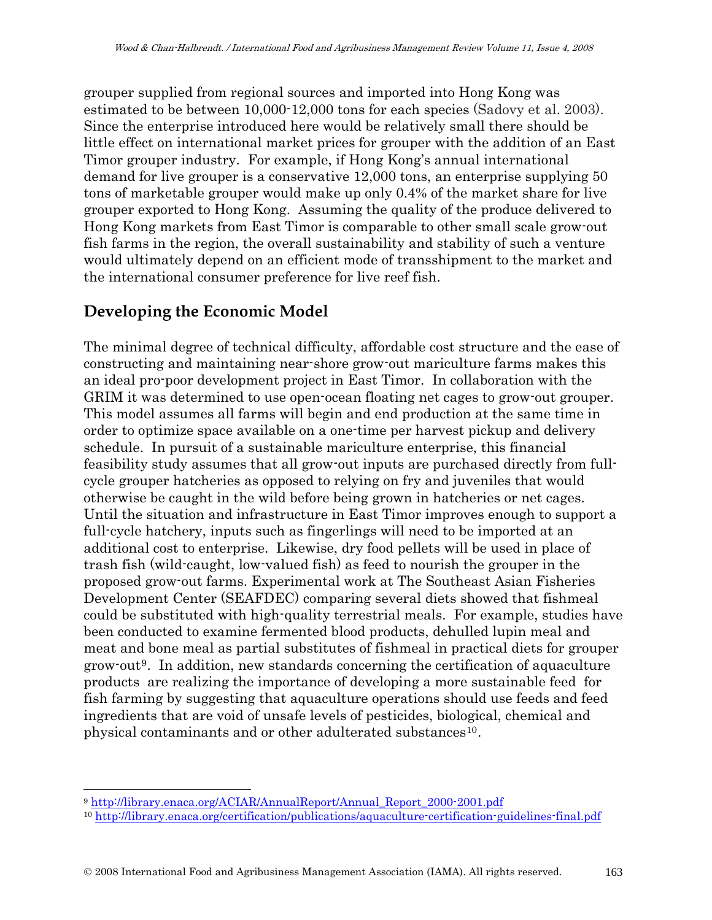grouper supplied from regional sources and imported into Hong Kong was estimated to be between 10,000-12,000 tons for each species (Sadovy et al. 2003). Since the enterprise introduced here would be relatively small there should be little effect on international market prices for grouper with the addition of an East Timor grouper industry. For example, if Hong Kong's annual international demand for live grouper is a conservative 12,000 tons, an enterprise supplying 50 tons of marketable grouper would make up only 0.4% of the market share for live grouper exported to Hong Kong. Assuming the quality of the produce delivered to Hong Kong markets from East Timor is comparable to other small scale grow-out fish farms in the region, the overall sustainability and stability of such a venture would ultimately depend on an efficient mode of transshipment to the market and the international consumer preference for live reef fish.

## **Developing the Economic Model**

The minimal degree of technical difficulty, affordable cost structure and the ease of constructing and maintaining near-shore grow-out mariculture farms makes this an ideal pro-poor development project in East Timor. In collaboration with the GRIM it was determined to use open-ocean floating net cages to grow-out grouper. This model assumes all farms will begin and end production at the same time in order to optimize space available on a one-time per harvest pickup and delivery schedule. In pursuit of a sustainable mariculture enterprise, this financial feasibility study assumes that all grow-out inputs are purchased directly from fullcycle grouper hatcheries as opposed to relying on fry and juveniles that would otherwise be caught in the wild before being grown in hatcheries or net cages. Until the situation and infrastructure in East Timor improves enough to support a full-cycle hatchery, inputs such as fingerlings will need to be imported at an additional cost to enterprise. Likewise, dry food pellets will be used in place of trash fish (wild-caught, low-valued fish) as feed to nourish the grouper in the proposed grow-out farms. Experimental work at The Southeast Asian Fisheries Development Center (SEAFDEC) comparing several diets showed that fishmeal could be substituted with high-quality terrestrial meals. For example, studies have been conducted to examine fermented blood products, dehulled lupin meal and meat and bone meal as partial substitutes of fishmeal in practical diets for grouper grow-out[9](#page-8-0). In addition, new standards concerning the certification of aquaculture products are realizing the importance of developing a more sustainable feed for fish farming by suggesting that aquaculture operations should use feeds and feed ingredients that are void of unsafe levels of pesticides, biological, chemical and physical contaminants and or other adulterated substances<sup>10</sup>.

<span id="page-8-1"></span><span id="page-8-0"></span><sup>&</sup>lt;sup>9</sup> http://library.enaca.org/ACIAR/AnnualReport/Annual\_Report\_2000-2001.pdf<br><sup>10</sup> http://library.enaca.org/certification/publications/aquaculture-certification-guidelines-final.pdf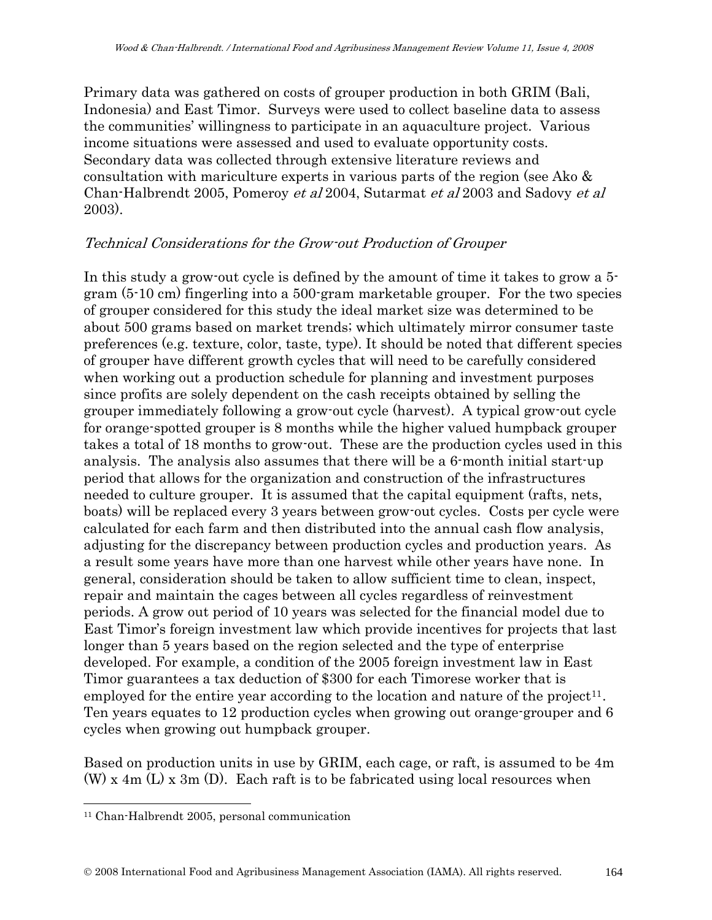Primary data was gathered on costs of grouper production in both GRIM (Bali, Indonesia) and East Timor. Surveys were used to collect baseline data to assess the communities' willingness to participate in an aquaculture project. Various income situations were assessed and used to evaluate opportunity costs. Secondary data was collected through extensive literature reviews and consultation with mariculture experts in various parts of the region (see Ako & Chan-Halbrendt 2005, Pomeroy et al 2004, Sutarmat et al 2003 and Sadovy et al 2003).

### Technical Considerations for the Grow-out Production of Grouper

In this study a grow-out cycle is defined by the amount of time it takes to grow a 5 gram (5-10 cm) fingerling into a 500-gram marketable grouper. For the two species of grouper considered for this study the ideal market size was determined to be about 500 grams based on market trends; which ultimately mirror consumer taste preferences (e.g. texture, color, taste, type). It should be noted that different species of grouper have different growth cycles that will need to be carefully considered when working out a production schedule for planning and investment purposes since profits are solely dependent on the cash receipts obtained by selling the grouper immediately following a grow-out cycle (harvest). A typical grow-out cycle for orange-spotted grouper is 8 months while the higher valued humpback grouper takes a total of 18 months to grow-out. These are the production cycles used in this analysis. The analysis also assumes that there will be a 6-month initial start-up period that allows for the organization and construction of the infrastructures needed to culture grouper. It is assumed that the capital equipment (rafts, nets, boats) will be replaced every 3 years between grow-out cycles. Costs per cycle were calculated for each farm and then distributed into the annual cash flow analysis, adjusting for the discrepancy between production cycles and production years. As a result some years have more than one harvest while other years have none. In general, consideration should be taken to allow sufficient time to clean, inspect, repair and maintain the cages between all cycles regardless of reinvestment periods. A grow out period of 10 years was selected for the financial model due to East Timor's foreign investment law which provide incentives for projects that last longer than 5 years based on the region selected and the type of enterprise developed. For example, a condition of the 2005 foreign investment law in East Timor guarantees a tax deduction of \$300 for each Timorese worker that is employed for the entire year according to the location and nature of the project<sup>[11](#page-9-0)</sup>. Ten years equates to 12 production cycles when growing out orange-grouper and 6 cycles when growing out humpback grouper.

Based on production units in use by GRIM, each cage, or raft, is assumed to be 4m  $(W)$  x 4m  $(L)$  x 3m  $(D)$ . Each raft is to be fabricated using local resources when

<span id="page-9-0"></span><sup>11</sup> Chan-Halbrendt 2005, personal communication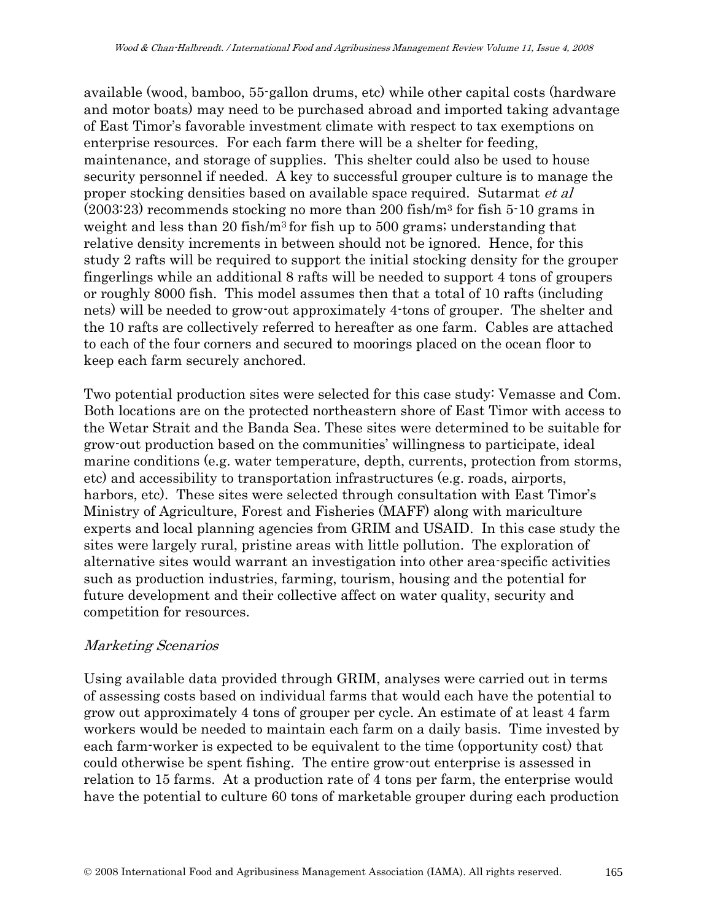available (wood, bamboo, 55-gallon drums, etc) while other capital costs (hardware and motor boats) may need to be purchased abroad and imported taking advantage of East Timor's favorable investment climate with respect to tax exemptions on enterprise resources. For each farm there will be a shelter for feeding, maintenance, and storage of supplies. This shelter could also be used to house security personnel if needed. A key to successful grouper culture is to manage the proper stocking densities based on available space required. Sutarmat et al (2003:23) recommends stocking no more than 200 fish/m3 for fish 5-10 grams in weight and less than 20 fish/m3 for fish up to 500 grams; understanding that relative density increments in between should not be ignored. Hence, for this study 2 rafts will be required to support the initial stocking density for the grouper fingerlings while an additional 8 rafts will be needed to support 4 tons of groupers or roughly 8000 fish. This model assumes then that a total of 10 rafts (including nets) will be needed to grow-out approximately 4-tons of grouper. The shelter and the 10 rafts are collectively referred to hereafter as one farm. Cables are attached to each of the four corners and secured to moorings placed on the ocean floor to keep each farm securely anchored.

Two potential production sites were selected for this case study: Vemasse and Com. Both locations are on the protected northeastern shore of East Timor with access to the Wetar Strait and the Banda Sea. These sites were determined to be suitable for grow-out production based on the communities' willingness to participate, ideal marine conditions (e.g. water temperature, depth, currents, protection from storms, etc) and accessibility to transportation infrastructures (e.g. roads, airports, harbors, etc). These sites were selected through consultation with East Timor's Ministry of Agriculture, Forest and Fisheries (MAFF) along with mariculture experts and local planning agencies from GRIM and USAID. In this case study the sites were largely rural, pristine areas with little pollution. The exploration of alternative sites would warrant an investigation into other area-specific activities such as production industries, farming, tourism, housing and the potential for future development and their collective affect on water quality, security and competition for resources.

### Marketing Scenarios

Using available data provided through GRIM, analyses were carried out in terms of assessing costs based on individual farms that would each have the potential to grow out approximately 4 tons of grouper per cycle. An estimate of at least 4 farm workers would be needed to maintain each farm on a daily basis. Time invested by each farm-worker is expected to be equivalent to the time (opportunity cost) that could otherwise be spent fishing. The entire grow-out enterprise is assessed in relation to 15 farms. At a production rate of 4 tons per farm, the enterprise would have the potential to culture 60 tons of marketable grouper during each production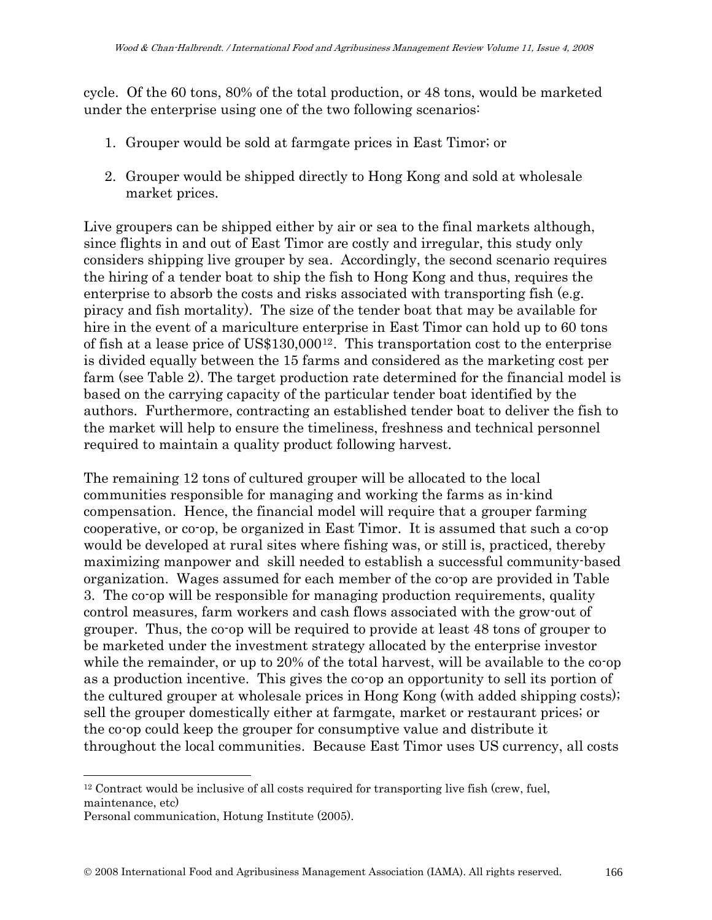cycle. Of the 60 tons, 80% of the total production, or 48 tons, would be marketed under the enterprise using one of the two following scenarios:

- 1. Grouper would be sold at farmgate prices in East Timor; or
- 2. Grouper would be shipped directly to Hong Kong and sold at wholesale market prices.

Live groupers can be shipped either by air or sea to the final markets although, since flights in and out of East Timor are costly and irregular, this study only considers shipping live grouper by sea. Accordingly, the second scenario requires the hiring of a tender boat to ship the fish to Hong Kong and thus, requires the enterprise to absorb the costs and risks associated with transporting fish (e.g. piracy and fish mortality). The size of the tender boat that may be available for hire in the event of a mariculture enterprise in East Timor can hold up to 60 tons of fish at a lease price of US\$130,000[12](#page-11-0). This transportation cost to the enterprise is divided equally between the 15 farms and considered as the marketing cost per farm (see Table 2). The target production rate determined for the financial model is based on the carrying capacity of the particular tender boat identified by the authors. Furthermore, contracting an established tender boat to deliver the fish to the market will help to ensure the timeliness, freshness and technical personnel required to maintain a quality product following harvest.

The remaining 12 tons of cultured grouper will be allocated to the local communities responsible for managing and working the farms as in-kind compensation. Hence, the financial model will require that a grouper farming cooperative, or co-op, be organized in East Timor. It is assumed that such a co-op would be developed at rural sites where fishing was, or still is, practiced, thereby maximizing manpower and skill needed to establish a successful community-based organization. Wages assumed for each member of the co-op are provided in Table 3. The co-op will be responsible for managing production requirements, quality control measures, farm workers and cash flows associated with the grow-out of grouper. Thus, the co-op will be required to provide at least 48 tons of grouper to be marketed under the investment strategy allocated by the enterprise investor while the remainder, or up to 20% of the total harvest, will be available to the co-op as a production incentive. This gives the co-op an opportunity to sell its portion of the cultured grouper at wholesale prices in Hong Kong (with added shipping costs); sell the grouper domestically either at farmgate, market or restaurant prices; or the co-op could keep the grouper for consumptive value and distribute it throughout the local communities. Because East Timor uses US currency, all costs

<span id="page-11-0"></span><sup>12</sup> Contract would be inclusive of all costs required for transporting live fish (crew, fuel, maintenance, etc)

Personal communication, Hotung Institute (2005).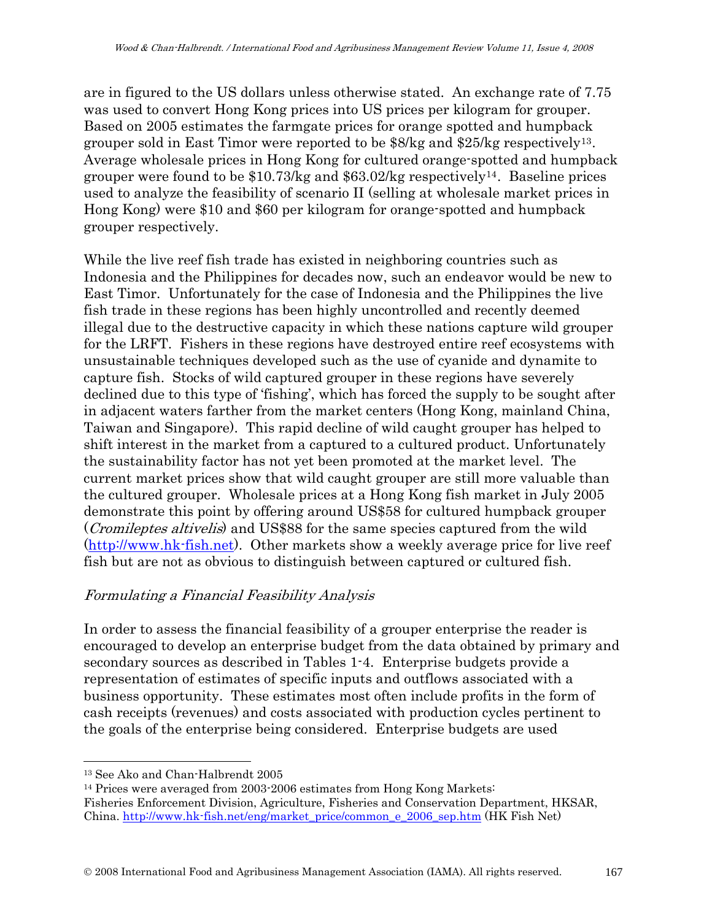are in figured to the US dollars unless otherwise stated. An exchange rate of 7.75 was used to convert Hong Kong prices into US prices per kilogram for grouper. Based on 2005 estimates the farmgate prices for orange spotted and humpback grouper sold in East Timor were reported to be  $88/\text{kg}$  and  $25/\text{kg}$  respectively<sup>[13](#page-12-0)</sup>. Average wholesale prices in Hong Kong for cultured orange-spotted and humpback grouper were found to be  $$10.73/kg$  and  $$63.02/kg$  respectively<sup>[14](#page-12-1)</sup>. Baseline prices used to analyze the feasibility of scenario II (selling at wholesale market prices in Hong Kong) were \$10 and \$60 per kilogram for orange-spotted and humpback grouper respectively.

While the live reef fish trade has existed in neighboring countries such as Indonesia and the Philippines for decades now, such an endeavor would be new to East Timor. Unfortunately for the case of Indonesia and the Philippines the live fish trade in these regions has been highly uncontrolled and recently deemed illegal due to the destructive capacity in which these nations capture wild grouper for the LRFT. Fishers in these regions have destroyed entire reef ecosystems with unsustainable techniques developed such as the use of cyanide and dynamite to capture fish. Stocks of wild captured grouper in these regions have severely declined due to this type of 'fishing', which has forced the supply to be sought after in adjacent waters farther from the market centers (Hong Kong, mainland China, Taiwan and Singapore). This rapid decline of wild caught grouper has helped to shift interest in the market from a captured to a cultured product. Unfortunately the sustainability factor has not yet been promoted at the market level. The current market prices show that wild caught grouper are still more valuable than the cultured grouper. Wholesale prices at a Hong Kong fish market in July 2005 demonstrate this point by offering around US\$58 for cultured humpback grouper (Cromileptes altivelis) and US\$88 for the same species captured from the wild ([http://www.hk-fish.net](http://www.hk-fish.net/)). Other markets show a weekly average price for live reef fish but are not as obvious to distinguish between captured or cultured fish.

### Formulating a Financial Feasibility Analysis

In order to assess the financial feasibility of a grouper enterprise the reader is encouraged to develop an enterprise budget from the data obtained by primary and secondary sources as described in Tables 1-4. Enterprise budgets provide a representation of estimates of specific inputs and outflows associated with a business opportunity. These estimates most often include profits in the form of cash receipts (revenues) and costs associated with production cycles pertinent to the goals of the enterprise being considered. Enterprise budgets are used

<span id="page-12-0"></span><sup>13</sup> See Ako and Chan-Halbrendt 2005

<span id="page-12-1"></span><sup>14</sup> Prices were averaged from 2003-2006 estimates from Hong Kong Markets: Fisheries Enforcement Division, Agriculture, Fisheries and Conservation Department, HKSAR, China. [http://www.hk-fish.net/eng/market\\_price/common\\_e\\_2006\\_sep.htm](http://www.hk-fish.net/eng/market_price/common_e_2006_sep.htm) (HK Fish Net)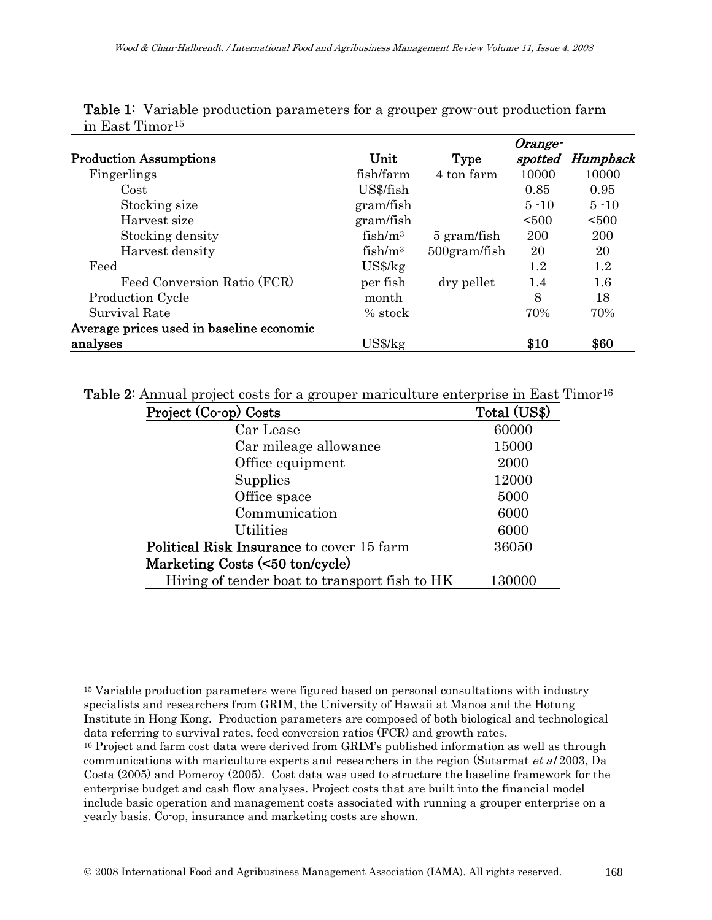|                                          |                     |                 | Orange-  |          |
|------------------------------------------|---------------------|-----------------|----------|----------|
| <b>Production Assumptions</b>            | Unit                | Type            | spotted  | Humpback |
| Fingerlings                              | fish/farm           | 4 ton farm      | 10000    | 10000    |
| Cost                                     | US\$/fish           |                 | 0.85     | 0.95     |
| Stocking size                            | gram/fish           |                 | $5 - 10$ | $5 - 10$ |
| Harvest size                             | gram/fish           |                 | < 500    | < 500    |
| Stocking density                         | $fish/m^3$          | 5 gram/fish     | 200      | 200      |
| Harvest density                          | fish/m <sup>3</sup> | $500$ gram/fish | 20       | 20       |
| Feed                                     | $US\frac{8}{kg}$    |                 | 1.2      | 1.2      |
| Feed Conversion Ratio (FCR)              | per fish            | dry pellet      | 1.4      | $1.6\,$  |
| <b>Production Cycle</b>                  | month               |                 | 8        | 18       |
| Survival Rate                            | $%$ stock           |                 | 70%      | 70%      |
| Average prices used in baseline economic |                     |                 |          |          |
| analyses                                 | $US\frac{8}{kg}$    |                 | \$10     | \$60     |

Table 1: Variable production parameters for a grouper grow-out production farm in East Timor[15](#page-13-0)

Table 2: Annual project costs for a grouper mariculture enterprise in East Timor<sup>[16](#page-13-1)</sup>

| Project (Co-op) Costs                            | Total (US\$) |
|--------------------------------------------------|--------------|
| Car Lease                                        | 60000        |
| Car mileage allowance                            | 15000        |
| Office equipment                                 | 2000         |
| Supplies                                         | 12000        |
| Office space                                     | 5000         |
| Communication                                    | 6000         |
| <b>Utilities</b>                                 | 6000         |
| <b>Political Risk Insurance to cover 15 farm</b> | 36050        |
| Marketing Costs (<50 ton/cycle)                  |              |
| Hiring of tender boat to transport fish to HK    | 130000       |

 $\overline{a}$ 

<span id="page-13-0"></span><sup>&</sup>lt;sup>15</sup> Variable production parameters were figured based on personal consultations with industry specialists and researchers from GRIM, the University of Hawaii at Manoa and the Hotung Institute in Hong Kong. Production parameters are composed of both biological and technological data referring to survival rates, feed conversion ratios (FCR) and growth rates.

<span id="page-13-1"></span><sup>&</sup>lt;sup>16</sup> Project and farm cost data were derived from GRIM's published information as well as through communications with mariculture experts and researchers in the region (Sutarmat et al 2003, Da Costa (2005) and Pomeroy (2005). Cost data was used to structure the baseline framework for the enterprise budget and cash flow analyses. Project costs that are built into the financial model include basic operation and management costs associated with running a grouper enterprise on a yearly basis. Co-op, insurance and marketing costs are shown.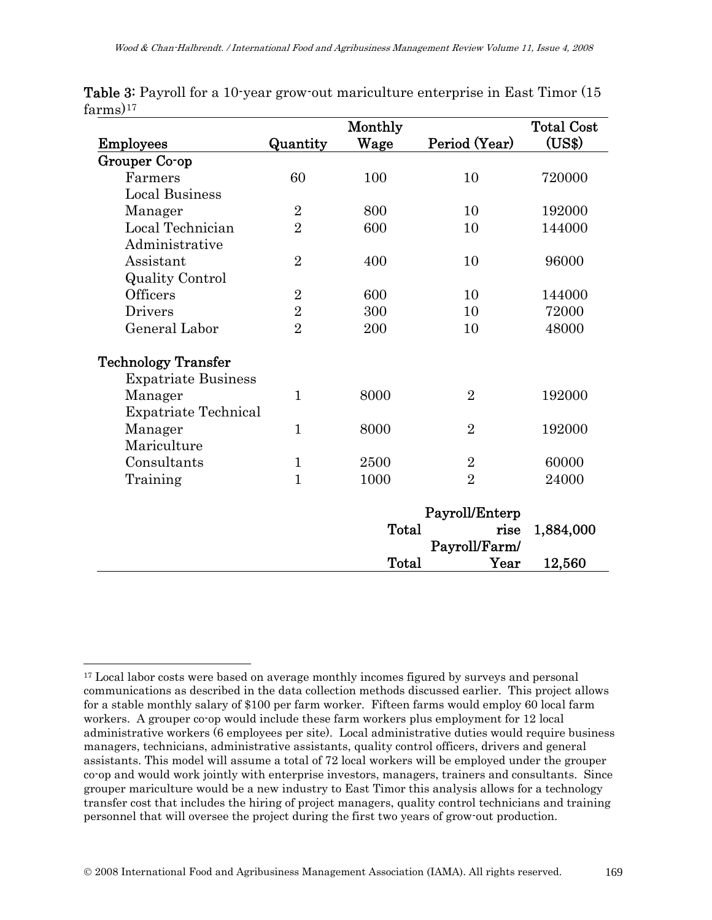|                             |                | Monthly |                              | <b>Total Cost</b> |
|-----------------------------|----------------|---------|------------------------------|-------------------|
| <b>Employees</b>            | Quantity       | Wage    | Period (Year)                | (US\$)            |
| Grouper Co-op               |                |         |                              |                   |
| Farmers                     | 60             | 100     | 10                           | 720000            |
| <b>Local Business</b>       |                |         |                              |                   |
| Manager                     | $\overline{2}$ | 800     | 10                           | 192000            |
| Local Technician            | $\overline{2}$ | 600     | 10                           | 144000            |
| Administrative              |                |         |                              |                   |
| Assistant                   | $\overline{2}$ | 400     | 10                           | 96000             |
| <b>Quality Control</b>      |                |         |                              |                   |
| Officers                    | $\overline{2}$ | 600     | 10                           | 144000            |
| <b>Drivers</b>              | $\sqrt{2}$     | 300     | 10                           | 72000             |
| General Labor               | $\overline{2}$ | 200     | 10                           | 48000             |
| <b>Technology Transfer</b>  |                |         |                              |                   |
| <b>Expatriate Business</b>  |                |         |                              |                   |
| Manager                     | $\mathbf{1}$   | 8000    | $\overline{2}$               | 192000            |
| <b>Expatriate Technical</b> |                |         |                              |                   |
| Manager                     | $\mathbf{1}$   | 8000    | $\overline{2}$               | 192000            |
| Mariculture                 |                |         |                              |                   |
| Consultants                 | $\mathbf{1}$   | 2500    | $\overline{2}$               | 60000             |
| Training                    | $\mathbf{1}$   | 1000    | $\overline{2}$               | 24000             |
|                             |                |         | Payroll/Enterp               |                   |
|                             |                | Total   | rise                         | 1,884,000         |
|                             |                |         | Payroll/Farm/                |                   |
|                             |                | Total   | $\boldsymbol{\mathrm{Year}}$ | 12,560            |

Table 3: Payroll for a 10-year grow-out mariculture enterprise in East Timor (15  $farms)$ <sup>[17](#page-14-0)</sup>

<span id="page-14-0"></span> $\overline{a}$ <sup>17</sup> Local labor costs were based on average monthly incomes figured by surveys and personal communications as described in the data collection methods discussed earlier. This project allows for a stable monthly salary of \$100 per farm worker. Fifteen farms would employ 60 local farm workers. A grouper co-op would include these farm workers plus employment for 12 local administrative workers (6 employees per site). Local administrative duties would require business managers, technicians, administrative assistants, quality control officers, drivers and general assistants. This model will assume a total of 72 local workers will be employed under the grouper co-op and would work jointly with enterprise investors, managers, trainers and consultants. Since grouper mariculture would be a new industry to East Timor this analysis allows for a technology transfer cost that includes the hiring of project managers, quality control technicians and training personnel that will oversee the project during the first two years of grow-out production.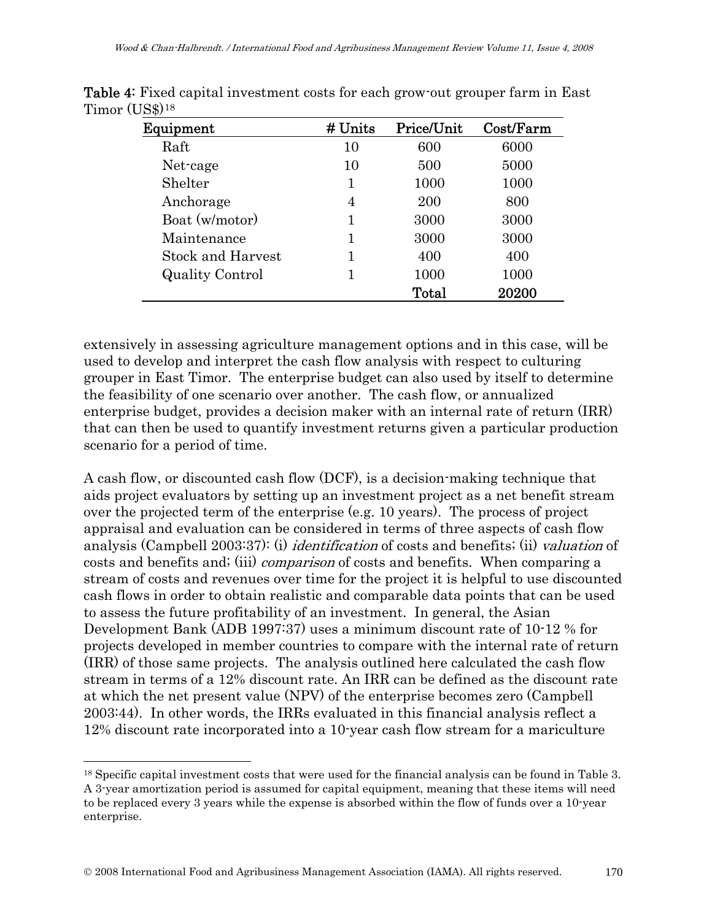| Equipment                | # Units | Price/Unit | Cost/Farm |
|--------------------------|---------|------------|-----------|
| Raft                     | 10      | 600        | 6000      |
| Net-cage                 | 10      | 500        | 5000      |
| Shelter                  | 1       | 1000       | 1000      |
| Anchorage                | 4       | 200        | 800       |
| Boat (w/motor)           |         | 3000       | 3000      |
| Maintenance              | 1       | 3000       | 3000      |
| <b>Stock and Harvest</b> |         | 400        | 400       |
| <b>Quality Control</b>   | 1       | 1000       | 1000      |
|                          |         | Total      | 20200     |

Table 4: Fixed capital investment costs for each grow-out grouper farm in East Timor (US\$)[18](#page-15-0)

extensively in assessing agriculture management options and in this case, will be used to develop and interpret the cash flow analysis with respect to culturing grouper in East Timor. The enterprise budget can also used by itself to determine the feasibility of one scenario over another. The cash flow, or annualized enterprise budget, provides a decision maker with an internal rate of return (IRR) that can then be used to quantify investment returns given a particular production scenario for a period of time.

A cash flow, or discounted cash flow (DCF), is a decision-making technique that aids project evaluators by setting up an investment project as a net benefit stream over the projected term of the enterprise (e.g. 10 years). The process of project appraisal and evaluation can be considered in terms of three aspects of cash flow analysis (Campbell 2003:37): (i) identification of costs and benefits; (ii) valuation of costs and benefits and; (iii) comparison of costs and benefits. When comparing a stream of costs and revenues over time for the project it is helpful to use discounted cash flows in order to obtain realistic and comparable data points that can be used to assess the future profitability of an investment. In general, the Asian Development Bank (ADB 1997:37) uses a minimum discount rate of 10-12 % for projects developed in member countries to compare with the internal rate of return (IRR) of those same projects. The analysis outlined here calculated the cash flow stream in terms of a 12% discount rate. An IRR can be defined as the discount rate at which the net present value (NPV) of the enterprise becomes zero (Campbell 2003:44). In other words, the IRRs evaluated in this financial analysis reflect a 12% discount rate incorporated into a 10-year cash flow stream for a mariculture

 $\overline{a}$ 

<span id="page-15-0"></span><sup>18</sup> Specific capital investment costs that were used for the financial analysis can be found in Table 3. A 3-year amortization period is assumed for capital equipment, meaning that these items will need to be replaced every 3 years while the expense is absorbed within the flow of funds over a 10-year enterprise.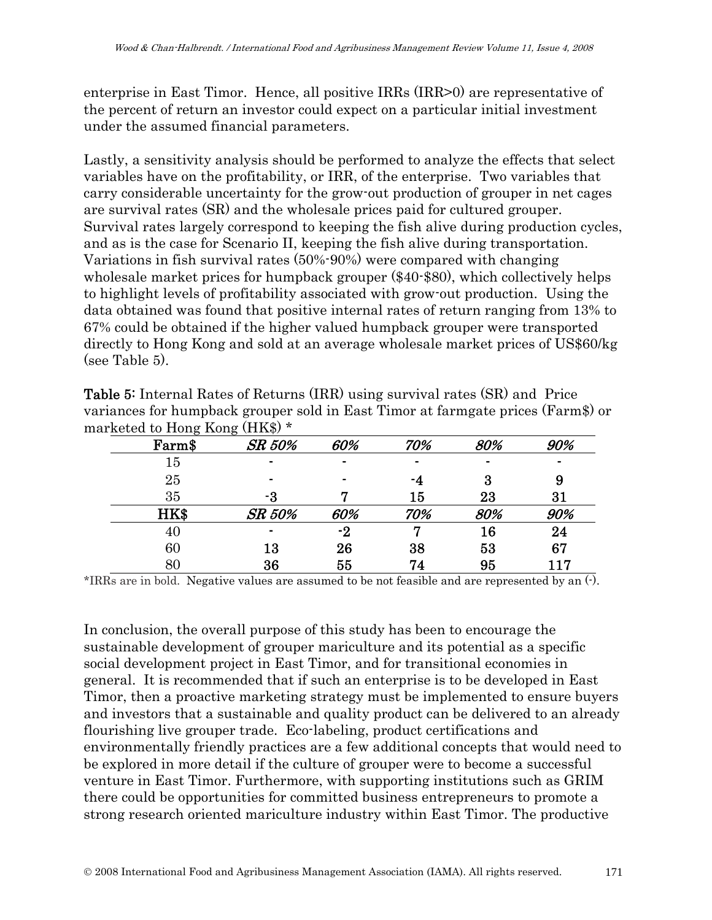enterprise in East Timor. Hence, all positive IRRs (IRR>0) are representative of the percent of return an investor could expect on a particular initial investment under the assumed financial parameters.

Lastly, a sensitivity analysis should be performed to analyze the effects that select variables have on the profitability, or IRR, of the enterprise. Two variables that carry considerable uncertainty for the grow-out production of grouper in net cages are survival rates (SR) and the wholesale prices paid for cultured grouper. Survival rates largely correspond to keeping the fish alive during production cycles, and as is the case for Scenario II, keeping the fish alive during transportation. Variations in fish survival rates (50%-90%) were compared with changing wholesale market prices for humpback grouper (\$40-\$80), which collectively helps to highlight levels of profitability associated with grow-out production. Using the data obtained was found that positive internal rates of return ranging from 13% to 67% could be obtained if the higher valued humpback grouper were transported directly to Hong Kong and sold at an average wholesale market prices of US\$60/kg (see Table 5).

| marketed to Hong Kong (HK\$) * |        |                |     |                |     |
|--------------------------------|--------|----------------|-----|----------------|-----|
| Farm\$                         | SR 50% | 60%            | 70% | 80%            | 90% |
| 15                             |        |                |     | $\blacksquare$ |     |
| 25                             |        | $\blacksquare$ | -4  | 3              | 9   |
| 35                             | -3     |                | 15  | 23             | 31  |
| HK\$                           | SR 50% | 60%            | 70% | 80%            | 90% |
| 40                             |        | -2             |     | 16             | 24  |
| 60                             | 13     | 26             | 38  | 53             | 67  |
| 80                             | 36     | 55             | 74  | 95             | 117 |

Table 5: Internal Rates of Returns (IRR) using survival rates (SR) and Price variances for humpback grouper sold in East Timor at farmgate prices (Farm\$) or marketed to Hong Kong (HK\$) \*

\*IRRs are in bold. Negative values are assumed to be not feasible and are represented by an (-).

In conclusion, the overall purpose of this study has been to encourage the sustainable development of grouper mariculture and its potential as a specific social development project in East Timor, and for transitional economies in general. It is recommended that if such an enterprise is to be developed in East Timor, then a proactive marketing strategy must be implemented to ensure buyers and investors that a sustainable and quality product can be delivered to an already flourishing live grouper trade. Eco-labeling, product certifications and environmentally friendly practices are a few additional concepts that would need to be explored in more detail if the culture of grouper were to become a successful venture in East Timor. Furthermore, with supporting institutions such as GRIM there could be opportunities for committed business entrepreneurs to promote a strong research oriented mariculture industry within East Timor. The productive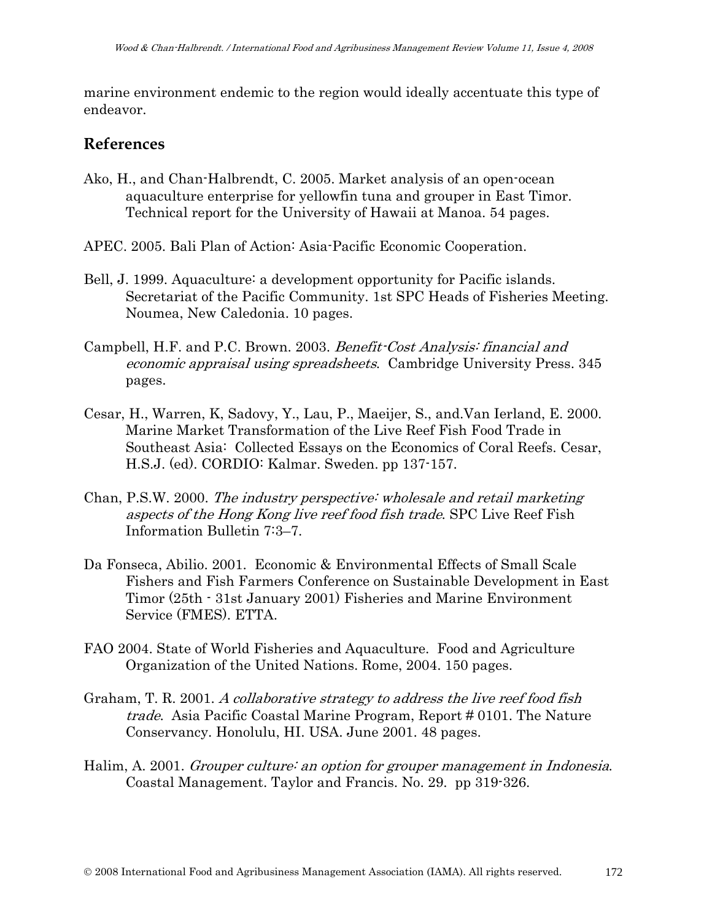marine environment endemic to the region would ideally accentuate this type of endeavor.

### **References**

- Ako, H., and Chan-Halbrendt, C. 2005. Market analysis of an open-ocean aquaculture enterprise for yellowfin tuna and grouper in East Timor. Technical report for the University of Hawaii at Manoa. 54 pages.
- APEC. 2005. Bali Plan of Action: Asia-Pacific Economic Cooperation.
- Bell, J. 1999. Aquaculture: a development opportunity for Pacific islands. Secretariat of the Pacific Community. 1st SPC Heads of Fisheries Meeting. Noumea, New Caledonia. 10 pages.
- Campbell, H.F. and P.C. Brown. 2003. Benefit-Cost Analysis: financial and economic appraisal using spreadsheets. Cambridge University Press. 345 pages.
- Cesar, H., Warren, K, Sadovy, Y., Lau, P., Maeijer, S., and.Van Ierland, E. 2000. Marine Market Transformation of the Live Reef Fish Food Trade in Southeast Asia: Collected Essays on the Economics of Coral Reefs. Cesar, H.S.J. (ed). CORDIO: Kalmar. Sweden. pp 137-157.
- Chan, P.S.W. 2000. The industry perspective: wholesale and retail marketing aspects of the Hong Kong live reef food fish trade. SPC Live Reef Fish Information Bulletin 7:3–7.
- Da Fonseca, Abilio. 2001. Economic & Environmental Effects of Small Scale Fishers and Fish Farmers Conference on Sustainable Development in East Timor (25th - 31st January 2001) Fisheries and Marine Environment Service (FMES). ETTA.
- FAO 2004. State of World Fisheries and Aquaculture. Food and Agriculture Organization of the United Nations. Rome, 2004. 150 pages.
- Graham, T. R. 2001. A collaborative strategy to address the live reef food fish trade. Asia Pacific Coastal Marine Program, Report # 0101. The Nature Conservancy. Honolulu, HI. USA. June 2001. 48 pages.
- Halim, A. 2001. Grouper culture: an option for grouper management in Indonesia. Coastal Management. Taylor and Francis. No. 29. pp 319-326.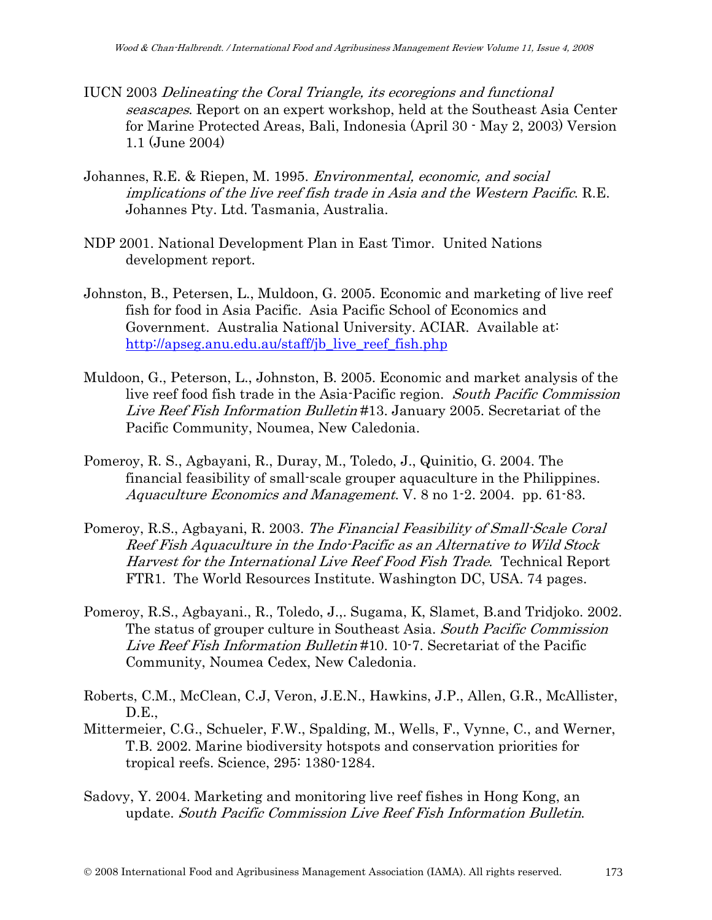- IUCN 2003 Delineating the Coral Triangle, its ecoregions and functional seascapes. Report on an expert workshop, held at the Southeast Asia Center for Marine Protected Areas, Bali, Indonesia (April 30 - May 2, 2003) Version 1.1 (June 2004)
- Johannes, R.E. & Riepen, M. 1995. Environmental, economic, and social implications of the live reef fish trade in Asia and the Western Pacific. R.E. Johannes Pty. Ltd. Tasmania, Australia.
- NDP 2001. National Development Plan in East Timor. United Nations development report.
- Johnston, B., Petersen, L., Muldoon, G. 2005. Economic and marketing of live reef fish for food in Asia Pacific. Asia Pacific School of Economics and Government. Australia National University. ACIAR. Available at: [http://apseg.anu.edu.au/staff/jb\\_live\\_reef\\_fish.php](http://apseg.anu.edu.au/staff/jb_live_reef_fish.php)
- Muldoon, G., Peterson, L., Johnston, B. 2005. Economic and market analysis of the live reef food fish trade in the Asia-Pacific region. South Pacific Commission Live Reef Fish Information Bulletin #13. January 2005. Secretariat of the Pacific Community, Noumea, New Caledonia.
- Pomeroy, R. S., Agbayani, R., Duray, M., Toledo, J., Quinitio, G. 2004. The financial feasibility of small-scale grouper aquaculture in the Philippines. Aquaculture Economics and Management. V. 8 no 1-2. 2004. pp. 61-83.
- Pomeroy, R.S., Agbayani, R. 2003. The Financial Feasibility of Small-Scale Coral Reef Fish Aquaculture in the Indo-Pacific as an Alternative to Wild Stock Harvest for the International Live Reef Food Fish Trade. Technical Report FTR1. The World Resources Institute. Washington DC, USA. 74 pages.
- Pomeroy, R.S., Agbayani., R., Toledo, J.,. Sugama, K, Slamet, B.and Tridjoko. 2002. The status of grouper culture in Southeast Asia. South Pacific Commission Live Reef Fish Information Bulletin #10. 10-7. Secretariat of the Pacific Community, Noumea Cedex, New Caledonia.
- Roberts, C.M., McClean, C.J, Veron, J.E.N., Hawkins, J.P., Allen, G.R., McAllister, D.E.,
- Mittermeier, C.G., Schueler, F.W., Spalding, M., Wells, F., Vynne, C., and Werner, T.B. 2002. Marine biodiversity hotspots and conservation priorities for tropical reefs. Science, 295: 1380-1284.
- Sadovy, Y. 2004. Marketing and monitoring live reef fishes in Hong Kong, an update. South Pacific Commission Live Reef Fish Information Bulletin.